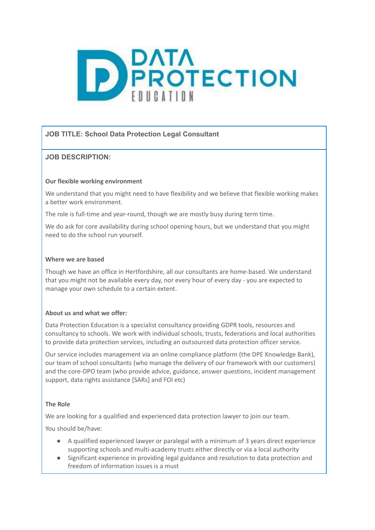

# **JOB TITLE: School Data Protection Legal Consultant**

# **JOB DESCRIPTION:**

### **Our flexible working environment**

We understand that you might need to have flexibility and we believe that flexible working makes a better work environment.

The role is full-time and year-round, though we are mostly busy during term time.

We do ask for core availability during school opening hours, but we understand that you might need to do the school run yourself.

#### **Where we are based**

Though we have an office in Hertfordshire, all our consultants are home-based. We understand that you might not be available every day, nor every hour of every day - you are expected to manage your own schedule to a certain extent.

#### **About us and what we offer:**

Data Protection Education is a specialist consultancy providing GDPR tools, resources and consultancy to schools. We work with individual schools, trusts, federations and local authorities to provide data protection services, including an outsourced data protection officer service.

Our service includes management via an online compliance platform (the DPE Knowledge Bank), our team of school consultants (who manage the delivery of our framework with our customers) and the core-DPO team (who provide advice, guidance, answer questions, incident management support, data rights assistance [SARs] and FOI etc)

# **The Role**

We are looking for a qualified and experienced data protection lawyer to join our team.

You should be/have:

- A qualified experienced lawyer or paralegal with a minimum of 3 years direct experience supporting schools and multi-academy trusts either directly or via a local authority
- Significant experience in providing legal guidance and resolution to data protection and freedom of information issues is a must